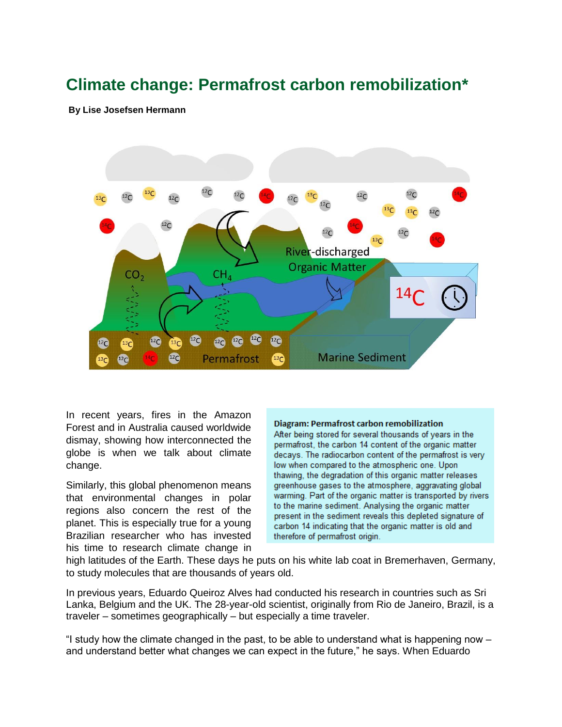# **Climate change: Permafrost carbon remobilization\***

**[By](https://ddrn.dk/author/lise/) [Lise Josefsen Hermann](https://ddrn.dk/author/lise/)**



In recent years, fires in the Amazon Forest and in Australia caused worldwide dismay, showing how interconnected the globe is when we talk about climate change.

Similarly, this global phenomenon means that environmental changes in polar regions also concern the rest of the planet. This is especially true for a young Brazilian researcher who has invested his time to research climate change in

#### **Diagram: Permafrost carbon remobilization**

After being stored for several thousands of years in the permafrost, the carbon 14 content of the organic matter decays. The radiocarbon content of the permafrost is very low when compared to the atmospheric one. Upon thawing, the degradation of this organic matter releases greenhouse gases to the atmosphere, aggravating global warming. Part of the organic matter is transported by rivers to the marine sediment. Analysing the organic matter present in the sediment reveals this depleted signature of carbon 14 indicating that the organic matter is old and therefore of permafrost origin.

high latitudes of the Earth. These days he puts on his white lab coat in Bremerhaven, Germany, to study molecules that are thousands of years old.

In previous years, Eduardo Queiroz Alves had conducted his research in countries such as Sri Lanka, Belgium and the UK. The 28-year-old scientist, originally from Rio de Janeiro, Brazil, is a traveler – sometimes geographically – but especially a time traveler.

"I study how the climate changed in the past, to be able to understand what is happening now  $$ and understand better what changes we can expect in the future," he says. When Eduardo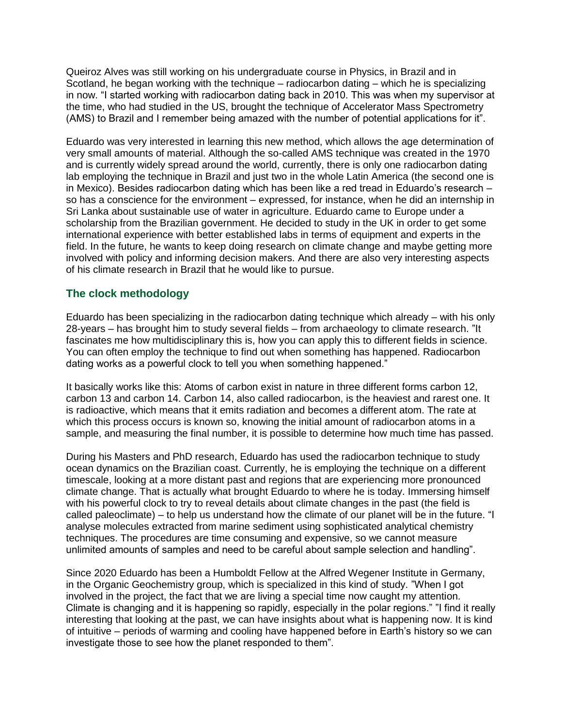Queiroz Alves was still working on his undergraduate course in Physics, in Brazil and in Scotland, he began working with the technique – radiocarbon dating – which he is specializing in now. "I started working with radiocarbon dating back in 2010. This was when my supervisor at the time, who had studied in the US, brought the technique of Accelerator Mass Spectrometry (AMS) to Brazil and I remember being amazed with the number of potential applications for it".

Eduardo was very interested in learning this new method, which allows the age determination of very small amounts of material. Although the so-called AMS technique was created in the 1970 and is currently widely spread around the world, currently, there is only one radiocarbon dating lab employing the technique in Brazil and just two in the whole Latin America (the second one is in Mexico). Besides radiocarbon dating which has been like a red tread in Eduardo's research – so has a conscience for the environment – expressed, for instance, when he did an internship in Sri Lanka about sustainable use of water in agriculture. Eduardo came to Europe under a scholarship from the Brazilian government. He decided to study in the UK in order to get some international experience with better established labs in terms of equipment and experts in the field. In the future, he wants to keep doing research on climate change and maybe getting more involved with policy and informing decision makers. And there are also very interesting aspects of his climate research in Brazil that he would like to pursue.

# **The clock methodology**

Eduardo has been specializing in the radiocarbon dating technique which already – with his only 28-years – has brought him to study several fields – from archaeology to climate research. "It fascinates me how multidisciplinary this is, how you can apply this to different fields in science. You can often employ the technique to find out when something has happened. Radiocarbon dating works as a powerful clock to tell you when something happened."

It basically works like this: Atoms of carbon exist in nature in three different forms carbon 12, carbon 13 and carbon 14. Carbon 14, also called radiocarbon, is the heaviest and rarest one. It is radioactive, which means that it emits radiation and becomes a different atom. The rate at which this process occurs is known so, knowing the initial amount of radiocarbon atoms in a sample, and measuring the final number, it is possible to determine how much time has passed.

During his Masters and PhD research, Eduardo has used the radiocarbon technique to study ocean dynamics on the Brazilian coast. Currently, he is employing the technique on a different timescale, looking at a more distant past and regions that are experiencing more pronounced climate change. That is actually what brought Eduardo to where he is today. Immersing himself with his powerful clock to try to reveal details about climate changes in the past (the field is called paleoclimate) – to help us understand how the climate of our planet will be in the future. "I analyse molecules extracted from marine sediment using sophisticated analytical chemistry techniques. The procedures are time consuming and expensive, so we cannot measure unlimited amounts of samples and need to be careful about sample selection and handling".

Since 2020 Eduardo has been a Humboldt Fellow at the Alfred Wegener Institute in Germany, in the Organic Geochemistry group, which is specialized in this kind of study. "When I got involved in the project, the fact that we are living a special time now caught my attention. Climate is changing and it is happening so rapidly, especially in the polar regions." "I find it really interesting that looking at the past, we can have insights about what is happening now. It is kind of intuitive – periods of warming and cooling have happened before in Earth's history so we can investigate those to see how the planet responded to them".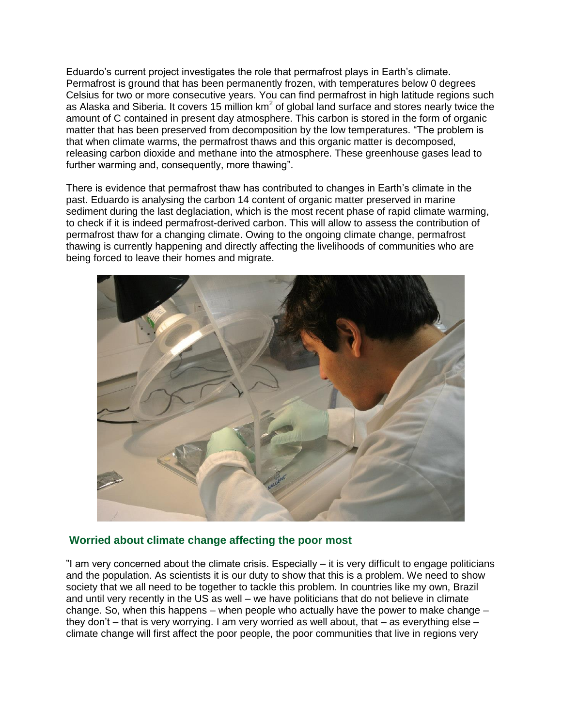Eduardo's current project investigates the role that permafrost plays in Earth's climate. Permafrost is ground that has been permanently frozen, with temperatures below 0 degrees Celsius for two or more consecutive years. You can find permafrost in high latitude regions such as Alaska and Siberia. It covers 15 million km<sup>2</sup> of global land surface and stores nearly twice the amount of C contained in present day atmosphere. This carbon is stored in the form of organic matter that has been preserved from decomposition by the low temperatures. "The problem is that when climate warms, the permafrost thaws and this organic matter is decomposed, releasing carbon dioxide and methane into the atmosphere. These greenhouse gases lead to further warming and, consequently, more thawing".

There is evidence that permafrost thaw has contributed to changes in Earth's climate in the past. Eduardo is analysing the carbon 14 content of organic matter preserved in marine sediment during the last deglaciation, which is the most recent phase of rapid climate warming, to check if it is indeed permafrost-derived carbon. This will allow to assess the contribution of permafrost thaw for a changing climate. Owing to the ongoing climate change, permafrost thawing is currently happening and directly affecting the livelihoods of communities who are being forced to leave their homes and migrate.



# **Worried about climate change affecting the poor most**

"I am very concerned about the climate crisis. Especially – it is very difficult to engage politicians and the population. As scientists it is our duty to show that this is a problem. We need to show society that we all need to be together to tackle this problem. In countries like my own, Brazil and until very recently in the US as well – we have politicians that do not believe in climate change. So, when this happens – when people who actually have the power to make change – they don't – that is very worrying. I am very worried as well about, that – as everything else – climate change will first affect the poor people, the poor communities that live in regions very